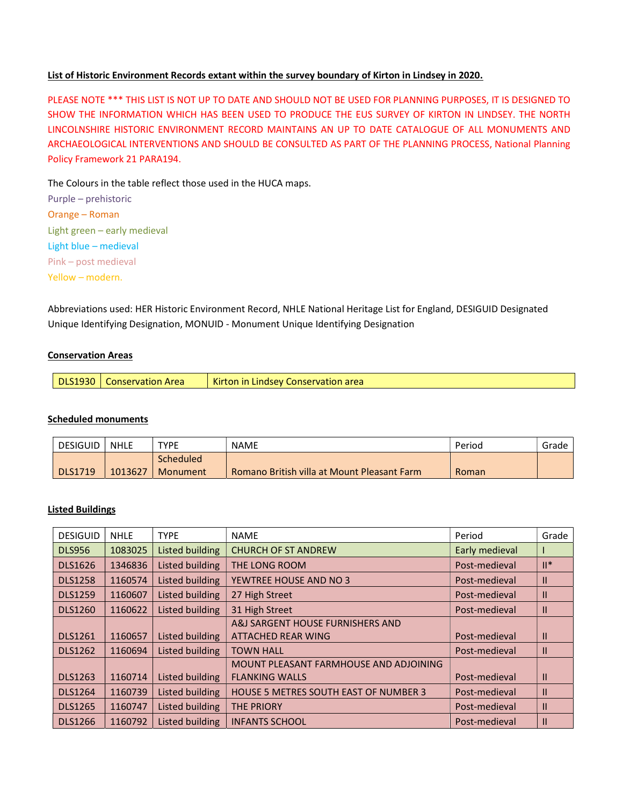## List of Historic Environment Records extant within the survey boundary of Kirton in Lindsey in 2020.

PLEASE NOTE \*\*\* THIS LIST IS NOT UP TO DATE AND SHOULD NOT BE USED FOR PLANNING PURPOSES, IT IS DESIGNED TO SHOW THE INFORMATION WHICH HAS BEEN USED TO PRODUCE THE EUS SURVEY OF KIRTON IN LINDSEY. THE NORTH LINCOLNSHIRE HISTORIC ENVIRONMENT RECORD MAINTAINS AN UP TO DATE CATALOGUE OF ALL MONUMENTS AND ARCHAEOLOGICAL INTERVENTIONS AND SHOULD BE CONSULTED AS PART OF THE PLANNING PROCESS, National Planning Policy Framework 21 PARA194.

The Colours in the table reflect those used in the HUCA maps.

| Purple - prehistoric         |  |  |  |  |  |
|------------------------------|--|--|--|--|--|
| Orange – Roman               |  |  |  |  |  |
| Light green - early medieval |  |  |  |  |  |
| Light blue - medieval        |  |  |  |  |  |
| Pink - post medieval         |  |  |  |  |  |
| Yellow – modern.             |  |  |  |  |  |

Abbreviations used: HER Historic Environment Record, NHLE National Heritage List for England, DESIGUID Designated Unique Identifying Designation, MONUID - Monument Unique Identifying Designation

## Conservation Areas

| <b>DLS1930</b> | Conservation Area | Kirton in Lindsey Conservation area |
|----------------|-------------------|-------------------------------------|
|----------------|-------------------|-------------------------------------|

#### Scheduled monuments

| <b>DESIGUID</b> | <b>NHLE</b> | <b>TYPE</b> | <b>NAME</b>                                 | Period | Grade |
|-----------------|-------------|-------------|---------------------------------------------|--------|-------|
|                 |             | Scheduled   |                                             |        |       |
| DLS1719         | 1013627     | Monument    | Romano British villa at Mount Pleasant Farm | Roman  |       |

# Listed Buildings

| <b>DESIGUID</b> | <b>NHLE</b> | <b>TYPE</b>            | <b>NAME</b>                                  | Period         | Grade          |
|-----------------|-------------|------------------------|----------------------------------------------|----------------|----------------|
| <b>DLS956</b>   | 1083025     | Listed building        | <b>CHURCH OF ST ANDREW</b>                   | Early medieval |                |
| <b>DLS1626</b>  | 1346836     | Listed building        | THE LONG ROOM                                | Post-medieval  | $\mathbb{H}^*$ |
| <b>DLS1258</b>  | 1160574     | <b>Listed building</b> | YEWTREE HOUSE AND NO 3                       | Post-medieval  | Ш              |
| <b>DLS1259</b>  | 1160607     | Listed building        | 27 High Street                               | Post-medieval  | Ш              |
| <b>DLS1260</b>  | 1160622     | Listed building        | 31 High Street                               | Post-medieval  | Ш              |
|                 |             |                        | A&J SARGENT HOUSE FURNISHERS AND             |                |                |
| <b>DLS1261</b>  | 1160657     | Listed building        | <b>ATTACHED REAR WING</b>                    | Post-medieval  | Ш              |
| <b>DLS1262</b>  | 1160694     | Listed building        | <b>TOWN HALL</b>                             | Post-medieval  | Ш              |
|                 |             |                        | MOUNT PLEASANT FARMHOUSE AND ADJOINING       |                |                |
| <b>DLS1263</b>  | 1160714     | Listed building        | <b>FLANKING WALLS</b>                        | Post-medieval  | Ш              |
| <b>DLS1264</b>  | 1160739     | Listed building        | <b>HOUSE 5 METRES SOUTH EAST OF NUMBER 3</b> | Post-medieval  | Ш              |
| <b>DLS1265</b>  | 1160747     | Listed building        | <b>THE PRIORY</b>                            | Post-medieval  | Ш              |
| <b>DLS1266</b>  | 1160792     | Listed building        | <b>INFANTS SCHOOL</b>                        | Post-medieval  | $\mathbf{I}$   |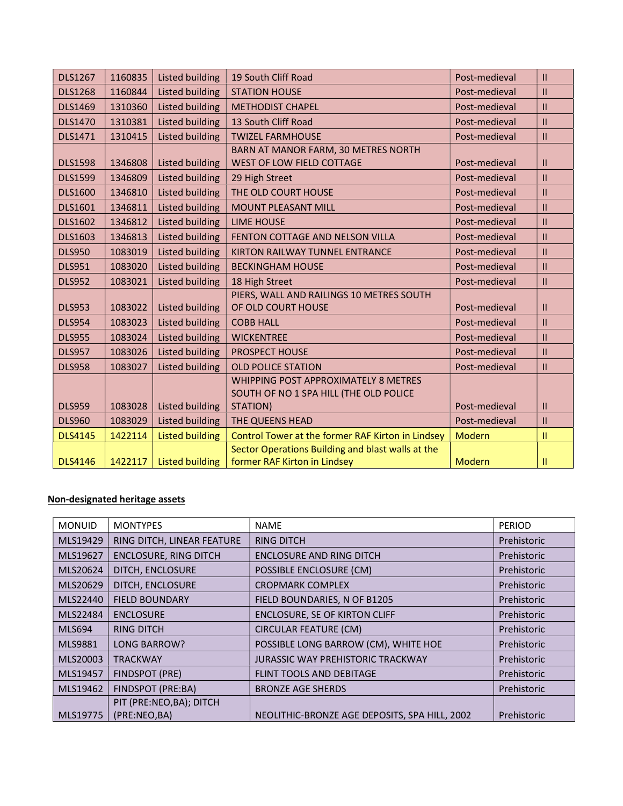| <b>DLS1267</b> | 1160835 | <b>Listed building</b> | 19 South Cliff Road                                                               | Post-medieval | $\mathbf{II}$ |
|----------------|---------|------------------------|-----------------------------------------------------------------------------------|---------------|---------------|
| <b>DLS1268</b> | 1160844 | <b>Listed building</b> | <b>STATION HOUSE</b>                                                              | Post-medieval | $\mathbf{H}$  |
| <b>DLS1469</b> | 1310360 | <b>Listed building</b> | <b>METHODIST CHAPEL</b>                                                           | Post-medieval | $\mathbf{II}$ |
| <b>DLS1470</b> | 1310381 | <b>Listed building</b> | 13 South Cliff Road                                                               | Post-medieval | $\mathbf{H}$  |
| DLS1471        | 1310415 | <b>Listed building</b> | <b>TWIZEL FARMHOUSE</b>                                                           | Post-medieval | $\mathbf{II}$ |
|                |         |                        | BARN AT MANOR FARM, 30 METRES NORTH                                               |               |               |
| <b>DLS1598</b> | 1346808 | <b>Listed building</b> | <b>WEST OF LOW FIELD COTTAGE</b>                                                  | Post-medieval | Ш             |
| <b>DLS1599</b> | 1346809 | <b>Listed building</b> | 29 High Street                                                                    | Post-medieval | $\mathbf{H}$  |
| <b>DLS1600</b> | 1346810 | <b>Listed building</b> | THE OLD COURT HOUSE                                                               | Post-medieval | $\mathbf{II}$ |
| DLS1601        | 1346811 | <b>Listed building</b> | <b>MOUNT PLEASANT MILL</b>                                                        | Post-medieval | $\mathbf{II}$ |
| <b>DLS1602</b> | 1346812 | <b>Listed building</b> | <b>LIME HOUSE</b>                                                                 | Post-medieval | $\mathbf{II}$ |
| <b>DLS1603</b> | 1346813 | <b>Listed building</b> | FENTON COTTAGE AND NELSON VILLA                                                   | Post-medieval | $\mathbf{II}$ |
| <b>DLS950</b>  | 1083019 | <b>Listed building</b> | KIRTON RAILWAY TUNNEL ENTRANCE                                                    | Post-medieval | $\mathbf{II}$ |
| <b>DLS951</b>  | 1083020 | Listed building        | <b>BECKINGHAM HOUSE</b>                                                           | Post-medieval | $\mathbf{II}$ |
| <b>DLS952</b>  | 1083021 | <b>Listed building</b> | 18 High Street                                                                    | Post-medieval | $\mathbf{II}$ |
|                |         |                        | PIERS, WALL AND RAILINGS 10 METRES SOUTH                                          |               |               |
| <b>DLS953</b>  | 1083022 | <b>Listed building</b> | OF OLD COURT HOUSE                                                                | Post-medieval | $\mathbf{II}$ |
| <b>DLS954</b>  | 1083023 | <b>Listed building</b> | <b>COBB HALL</b>                                                                  | Post-medieval | $\mathbf{II}$ |
| <b>DLS955</b>  | 1083024 | <b>Listed building</b> | <b>WICKENTREE</b>                                                                 | Post-medieval | $\mathbf{II}$ |
| <b>DLS957</b>  | 1083026 | Listed building        | <b>PROSPECT HOUSE</b>                                                             | Post-medieval | $\mathbf{II}$ |
| <b>DLS958</b>  | 1083027 | <b>Listed building</b> | <b>OLD POLICE STATION</b>                                                         | Post-medieval | $\mathbf{II}$ |
|                |         |                        | WHIPPING POST APPROXIMATELY 8 METRES                                              |               |               |
|                |         |                        | SOUTH OF NO 1 SPA HILL (THE OLD POLICE                                            |               |               |
| <b>DLS959</b>  | 1083028 | <b>Listed building</b> | STATION)                                                                          | Post-medieval | $\mathbf{H}$  |
| <b>DLS960</b>  | 1083029 | <b>Listed building</b> | THE QUEENS HEAD                                                                   | Post-medieval | $\mathbf{II}$ |
| <b>DLS4145</b> | 1422114 | <b>Listed building</b> | Control Tower at the former RAF Kirton in Lindsey                                 | <b>Modern</b> | $\mathbf{H}$  |
| <b>DLS4146</b> | 1422117 | <b>Listed building</b> | Sector Operations Building and blast walls at the<br>former RAF Kirton in Lindsey | Modern        | $\mathbf{H}$  |
|                |         |                        |                                                                                   |               |               |

# Non-designated heritage assets

| <b>MONUID</b>  | <b>MONTYPES</b>              | <b>NAME</b>                                   | <b>PERIOD</b> |
|----------------|------------------------------|-----------------------------------------------|---------------|
| MLS19429       | RING DITCH, LINEAR FEATURE   | <b>RING DITCH</b>                             | Prehistoric   |
| MLS19627       | <b>ENCLOSURE, RING DITCH</b> | <b>ENCLOSURE AND RING DITCH</b>               | Prehistoric   |
| MLS20624       | DITCH, ENCLOSURE             | POSSIBLE ENCLOSURE (CM)                       | Prehistoric   |
| MLS20629       | DITCH, ENCLOSURE             | <b>CROPMARK COMPLEX</b>                       | Prehistoric   |
| MLS22440       | <b>FIELD BOUNDARY</b>        | FIELD BOUNDARIES, N OF B1205                  | Prehistoric   |
| MLS22484       | <b>ENCLOSURE</b>             | ENCLOSURE, SE OF KIRTON CLIFF                 | Prehistoric   |
| <b>MLS694</b>  | <b>RING DITCH</b>            | <b>CIRCULAR FEATURE (CM)</b>                  | Prehistoric   |
| <b>MLS9881</b> | <b>LONG BARROW?</b>          | POSSIBLE LONG BARROW (CM), WHITE HOE          | Prehistoric   |
| MLS20003       | <b>TRACKWAY</b>              | <b>JURASSIC WAY PREHISTORIC TRACKWAY</b>      | Prehistoric   |
| MLS19457       | FINDSPOT (PRE)               | FLINT TOOLS AND DEBITAGE                      | Prehistoric   |
| MLS19462       | FINDSPOT (PRE:BA)            | <b>BRONZE AGE SHERDS</b>                      | Prehistoric   |
|                | PIT (PRE:NEO,BA); DITCH      |                                               |               |
| MLS19775       | (PRE:NEO,BA)                 | NEOLITHIC-BRONZE AGE DEPOSITS, SPA HILL, 2002 | Prehistoric   |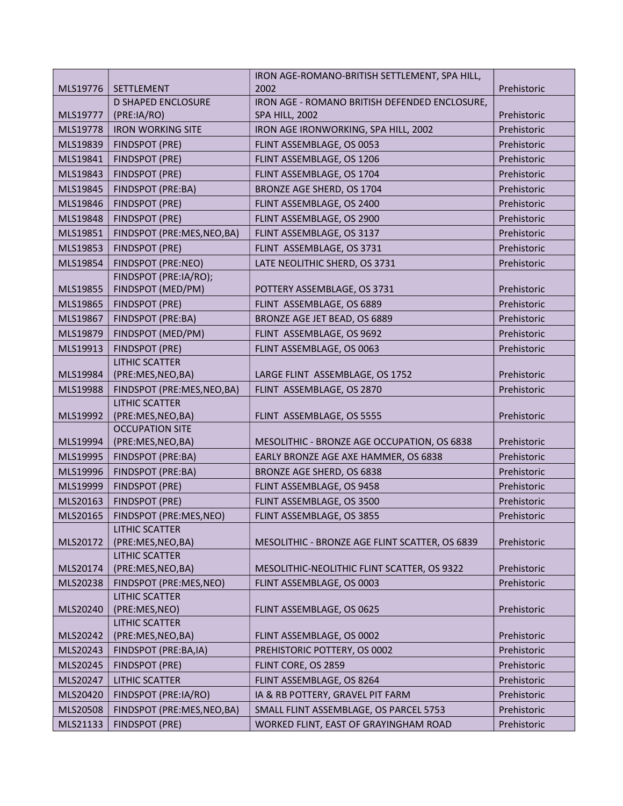|          |                                            | IRON AGE-ROMANO-BRITISH SETTLEMENT, SPA HILL,  |             |
|----------|--------------------------------------------|------------------------------------------------|-------------|
| MLS19776 | SETTLEMENT                                 | 2002                                           | Prehistoric |
|          | <b>D SHAPED ENCLOSURE</b>                  | IRON AGE - ROMANO BRITISH DEFENDED ENCLOSURE,  |             |
| MLS19777 | (PRE:IA/RO)                                | <b>SPA HILL, 2002</b>                          | Prehistoric |
| MLS19778 | <b>IRON WORKING SITE</b>                   | IRON AGE IRONWORKING, SPA HILL, 2002           | Prehistoric |
| MLS19839 | <b>FINDSPOT (PRE)</b>                      | FLINT ASSEMBLAGE, OS 0053                      | Prehistoric |
| MLS19841 | <b>FINDSPOT (PRE)</b>                      | FLINT ASSEMBLAGE, OS 1206                      | Prehistoric |
| MLS19843 | <b>FINDSPOT (PRE)</b>                      | FLINT ASSEMBLAGE, OS 1704                      | Prehistoric |
| MLS19845 | FINDSPOT (PRE:BA)                          | BRONZE AGE SHERD, OS 1704                      | Prehistoric |
| MLS19846 | <b>FINDSPOT (PRE)</b>                      | FLINT ASSEMBLAGE, OS 2400                      | Prehistoric |
| MLS19848 | <b>FINDSPOT (PRE)</b>                      | FLINT ASSEMBLAGE, OS 2900                      | Prehistoric |
| MLS19851 | FINDSPOT (PRE:MES, NEO, BA)                | FLINT ASSEMBLAGE, OS 3137                      | Prehistoric |
| MLS19853 | <b>FINDSPOT (PRE)</b>                      | FLINT ASSEMBLAGE, OS 3731                      | Prehistoric |
| MLS19854 | FINDSPOT (PRE:NEO)                         | LATE NEOLITHIC SHERD, OS 3731                  | Prehistoric |
|          | FINDSPOT (PRE:IA/RO);                      |                                                |             |
| MLS19855 | FINDSPOT (MED/PM)                          | POTTERY ASSEMBLAGE, OS 3731                    | Prehistoric |
| MLS19865 | <b>FINDSPOT (PRE)</b>                      | FLINT ASSEMBLAGE, OS 6889                      | Prehistoric |
| MLS19867 | <b>FINDSPOT (PRE:BA)</b>                   | BRONZE AGE JET BEAD, OS 6889                   | Prehistoric |
| MLS19879 | FINDSPOT (MED/PM)                          | FLINT ASSEMBLAGE, OS 9692                      | Prehistoric |
| MLS19913 | <b>FINDSPOT (PRE)</b>                      | FLINT ASSEMBLAGE, OS 0063                      | Prehistoric |
|          | <b>LITHIC SCATTER</b>                      |                                                |             |
| MLS19984 | (PRE:MES,NEO,BA)                           | LARGE FLINT ASSEMBLAGE, OS 1752                | Prehistoric |
| MLS19988 | FINDSPOT (PRE:MES, NEO, BA)                | FLINT ASSEMBLAGE, OS 2870                      | Prehistoric |
|          | <b>LITHIC SCATTER</b>                      |                                                |             |
| MLS19992 | (PRE:MES,NEO,BA)<br><b>OCCUPATION SITE</b> | FLINT ASSEMBLAGE, OS 5555                      | Prehistoric |
| MLS19994 | (PRE:MES,NEO,BA)                           | MESOLITHIC - BRONZE AGE OCCUPATION, OS 6838    | Prehistoric |
| MLS19995 | FINDSPOT (PRE:BA)                          | EARLY BRONZE AGE AXE HAMMER, OS 6838           | Prehistoric |
| MLS19996 | <b>FINDSPOT (PRE:BA)</b>                   | BRONZE AGE SHERD, OS 6838                      | Prehistoric |
| MLS19999 | <b>FINDSPOT (PRE)</b>                      | FLINT ASSEMBLAGE, OS 9458                      | Prehistoric |
| MLS20163 | <b>FINDSPOT (PRE)</b>                      | FLINT ASSEMBLAGE, OS 3500                      | Prehistoric |
| MLS20165 | FINDSPOT (PRE:MES,NEO)                     | FLINT ASSEMBLAGE, OS 3855                      | Prehistoric |
|          | LITHIC SCATTER                             |                                                |             |
| MLS20172 | (PRE:MES,NEO,BA)                           | MESOLITHIC - BRONZE AGE FLINT SCATTER, OS 6839 | Prehistoric |
|          | <b>LITHIC SCATTER</b>                      |                                                |             |
| MLS20174 | (PRE:MES,NEO,BA)                           | MESOLITHIC-NEOLITHIC FLINT SCATTER, OS 9322    | Prehistoric |
| MLS20238 | FINDSPOT (PRE:MES,NEO)                     | FLINT ASSEMBLAGE, OS 0003                      | Prehistoric |
|          | <b>LITHIC SCATTER</b>                      |                                                |             |
| MLS20240 | (PRE:MES,NEO)                              | FLINT ASSEMBLAGE, OS 0625                      | Prehistoric |
|          | <b>LITHIC SCATTER</b>                      |                                                |             |
| MLS20242 | (PRE:MES,NEO,BA)                           | FLINT ASSEMBLAGE, OS 0002                      | Prehistoric |
| MLS20243 | FINDSPOT (PRE:BA,IA)                       | PREHISTORIC POTTERY, OS 0002                   | Prehistoric |
| MLS20245 | <b>FINDSPOT (PRE)</b>                      | FLINT CORE, OS 2859                            | Prehistoric |
| MLS20247 | <b>LITHIC SCATTER</b>                      | FLINT ASSEMBLAGE, OS 8264                      | Prehistoric |
| MLS20420 | FINDSPOT (PRE:IA/RO)                       | IA & RB POTTERY, GRAVEL PIT FARM               | Prehistoric |
| MLS20508 | FINDSPOT (PRE:MES,NEO,BA)                  | SMALL FLINT ASSEMBLAGE, OS PARCEL 5753         | Prehistoric |
| MLS21133 | <b>FINDSPOT (PRE)</b>                      | WORKED FLINT, EAST OF GRAYINGHAM ROAD          | Prehistoric |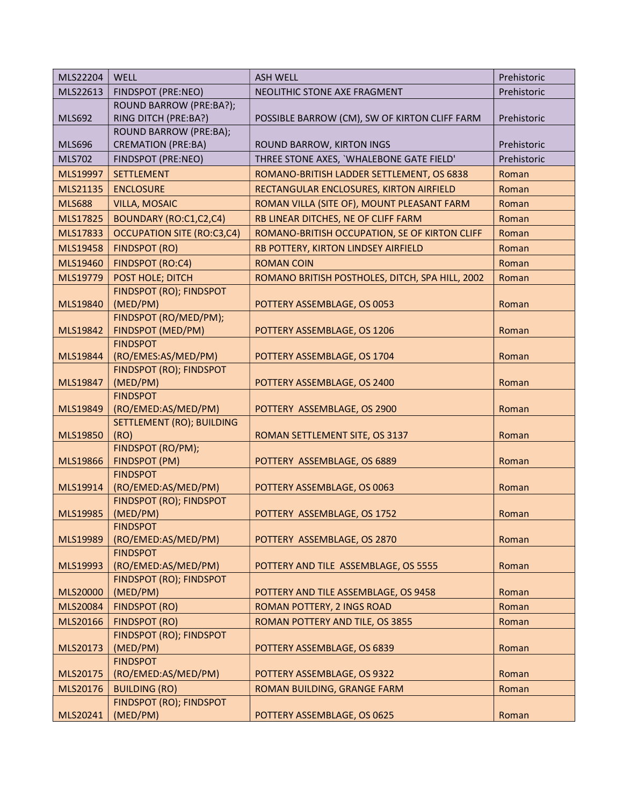| MLS22204      | <b>WELL</b>                            | <b>ASH WELL</b>                                 | Prehistoric |
|---------------|----------------------------------------|-------------------------------------------------|-------------|
| MLS22613      | FINDSPOT (PRE:NEO)                     | NEOLITHIC STONE AXE FRAGMENT                    | Prehistoric |
|               | <b>ROUND BARROW (PRE:BA?);</b>         |                                                 |             |
| <b>MLS692</b> | RING DITCH (PRE:BA?)                   | POSSIBLE BARROW (CM), SW OF KIRTON CLIFF FARM   | Prehistoric |
|               | ROUND BARROW (PRE:BA);                 |                                                 |             |
| <b>MLS696</b> | <b>CREMATION (PRE:BA)</b>              | ROUND BARROW, KIRTON INGS                       | Prehistoric |
| <b>MLS702</b> | FINDSPOT (PRE:NEO)                     | THREE STONE AXES, 'WHALEBONE GATE FIELD'        | Prehistoric |
| MLS19997      | <b>SETTLEMENT</b>                      | ROMANO-BRITISH LADDER SETTLEMENT, OS 6838       | Roman       |
| MLS21135      | <b>ENCLOSURE</b>                       | RECTANGULAR ENCLOSURES, KIRTON AIRFIELD         | Roman       |
| <b>MLS688</b> | <b>VILLA, MOSAIC</b>                   | ROMAN VILLA (SITE OF), MOUNT PLEASANT FARM      | Roman       |
| MLS17825      | BOUNDARY (RO:C1,C2,C4)                 | RB LINEAR DITCHES, NE OF CLIFF FARM             | Roman       |
| MLS17833      | <b>OCCUPATION SITE (RO:C3,C4)</b>      | ROMANO-BRITISH OCCUPATION, SE OF KIRTON CLIFF   | Roman       |
| MLS19458      | <b>FINDSPOT (RO)</b>                   | RB POTTERY, KIRTON LINDSEY AIRFIELD             | Roman       |
| MLS19460      | <b>FINDSPOT (RO:C4)</b>                | <b>ROMAN COIN</b>                               | Roman       |
| MLS19779      | POST HOLE; DITCH                       | ROMANO BRITISH POSTHOLES, DITCH, SPA HILL, 2002 | Roman       |
|               | FINDSPOT (RO); FINDSPOT                |                                                 |             |
| MLS19840      | (MED/PM)                               | POTTERY ASSEMBLAGE, OS 0053                     | Roman       |
|               | FINDSPOT (RO/MED/PM);                  |                                                 |             |
| MLS19842      | FINDSPOT (MED/PM)                      | POTTERY ASSEMBLAGE, OS 1206                     | Roman       |
|               | <b>FINDSPOT</b>                        |                                                 |             |
| MLS19844      | (RO/EMES:AS/MED/PM)                    | POTTERY ASSEMBLAGE, OS 1704                     | Roman       |
|               | FINDSPOT (RO); FINDSPOT                |                                                 |             |
| MLS19847      | (MED/PM)                               | POTTERY ASSEMBLAGE, OS 2400                     | Roman       |
| MLS19849      | <b>FINDSPOT</b><br>(RO/EMED:AS/MED/PM) | POTTERY ASSEMBLAGE, OS 2900                     | Roman       |
|               | <b>SETTLEMENT (RO); BUILDING</b>       |                                                 |             |
| MLS19850      | (RO)                                   | ROMAN SETTLEMENT SITE, OS 3137                  | Roman       |
|               | FINDSPOT (RO/PM);                      |                                                 |             |
| MLS19866      | <b>FINDSPOT (PM)</b>                   | POTTERY ASSEMBLAGE, OS 6889                     | Roman       |
|               | <b>FINDSPOT</b>                        |                                                 |             |
| MLS19914      | (RO/EMED:AS/MED/PM)                    | POTTERY ASSEMBLAGE, OS 0063                     | Roman       |
|               | FINDSPOT (RO); FINDSPOT                |                                                 |             |
| MLS19985      | (MED/PM)                               | POTTERY ASSEMBLAGE, OS 1752                     | Roman       |
|               | <b>FINDSPOT</b>                        |                                                 |             |
| MLS19989      | (RO/EMED:AS/MED/PM)                    | POTTERY ASSEMBLAGE, OS 2870                     | Roman       |
| MLS19993      | <b>FINDSPOT</b><br>(RO/EMED:AS/MED/PM) | POTTERY AND TILE ASSEMBLAGE, OS 5555            | Roman       |
|               | FINDSPOT (RO); FINDSPOT                |                                                 |             |
| MLS20000      | (MED/PM)                               | POTTERY AND TILE ASSEMBLAGE, OS 9458            | Roman       |
| MLS20084      | FINDSPOT (RO)                          | ROMAN POTTERY, 2 INGS ROAD                      | Roman       |
| MLS20166      | <b>FINDSPOT (RO)</b>                   | ROMAN POTTERY AND TILE, OS 3855                 | Roman       |
|               | FINDSPOT (RO); FINDSPOT                |                                                 |             |
| MLS20173      | (MED/PM)                               | POTTERY ASSEMBLAGE, OS 6839                     | Roman       |
|               | <b>FINDSPOT</b>                        |                                                 |             |
| MLS20175      | (RO/EMED:AS/MED/PM)                    | POTTERY ASSEMBLAGE, OS 9322                     | Roman       |
| MLS20176      | <b>BUILDING (RO)</b>                   | ROMAN BUILDING, GRANGE FARM                     | Roman       |
|               | FINDSPOT (RO); FINDSPOT                |                                                 |             |
| MLS20241      | (MED/PM)                               | POTTERY ASSEMBLAGE, OS 0625                     | Roman       |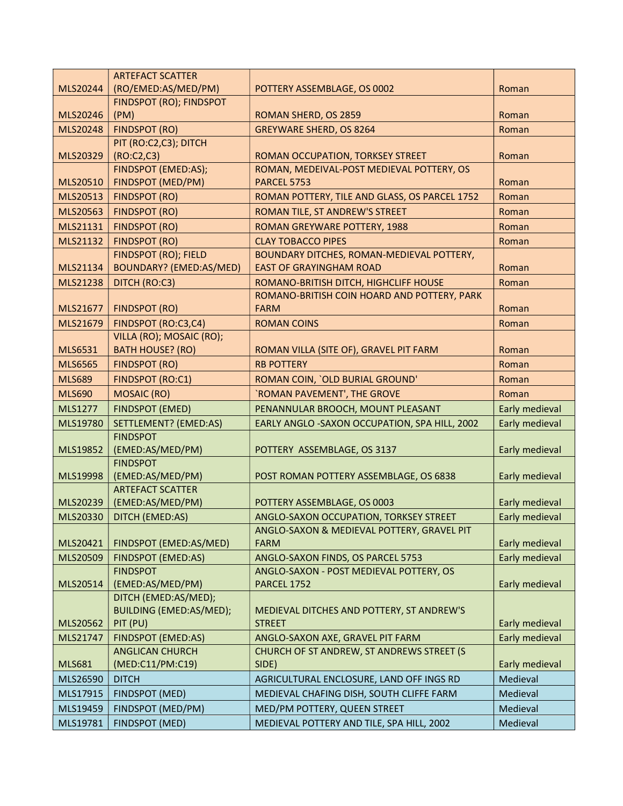|                | <b>ARTEFACT SCATTER</b>             |                                                                                      |                |
|----------------|-------------------------------------|--------------------------------------------------------------------------------------|----------------|
| MLS20244       | (RO/EMED:AS/MED/PM)                 | POTTERY ASSEMBLAGE, OS 0002                                                          | Roman          |
|                | FINDSPOT (RO); FINDSPOT             |                                                                                      |                |
| MLS20246       | (PM)                                | ROMAN SHERD, OS 2859                                                                 | Roman          |
| MLS20248       | <b>FINDSPOT (RO)</b>                | <b>GREYWARE SHERD, OS 8264</b>                                                       | Roman          |
|                | PIT (RO:C2,C3); DITCH               |                                                                                      |                |
| MLS20329       | (RO:C2, C3)                         | ROMAN OCCUPATION, TORKSEY STREET                                                     | Roman          |
|                | FINDSPOT (EMED:AS);                 | ROMAN, MEDEIVAL-POST MEDIEVAL POTTERY, OS                                            |                |
| MLS20510       | <b>FINDSPOT (MED/PM)</b>            | <b>PARCEL 5753</b>                                                                   | Roman          |
| MLS20513       | <b>FINDSPOT (RO)</b>                | ROMAN POTTERY, TILE AND GLASS, OS PARCEL 1752                                        | Roman          |
| MLS20563       | <b>FINDSPOT (RO)</b>                | ROMAN TILE, ST ANDREW'S STREET                                                       | Roman          |
| MLS21131       | <b>FINDSPOT (RO)</b>                | ROMAN GREYWARE POTTERY, 1988                                                         | Roman          |
| MLS21132       | <b>FINDSPOT (RO)</b>                | <b>CLAY TOBACCO PIPES</b>                                                            | Roman          |
|                | <b>FINDSPOT (RO); FIELD</b>         | BOUNDARY DITCHES, ROMAN-MEDIEVAL POTTERY,                                            |                |
| MLS21134       | BOUNDARY? (EMED:AS/MED)             | <b>EAST OF GRAYINGHAM ROAD</b>                                                       | Roman          |
| MLS21238       | DITCH (RO:C3)                       | ROMANO-BRITISH DITCH, HIGHCLIFF HOUSE<br>ROMANO-BRITISH COIN HOARD AND POTTERY, PARK | Roman          |
| MLS21677       | <b>FINDSPOT (RO)</b>                | <b>FARM</b>                                                                          | Roman          |
| MLS21679       | FINDSPOT (RO:C3,C4)                 | <b>ROMAN COINS</b>                                                                   | Roman          |
|                | VILLA (RO); MOSAIC (RO);            |                                                                                      |                |
| <b>MLS6531</b> | <b>BATH HOUSE? (RO)</b>             | ROMAN VILLA (SITE OF), GRAVEL PIT FARM                                               | Roman          |
| <b>MLS6565</b> | <b>FINDSPOT (RO)</b>                | <b>RB POTTERY</b>                                                                    | Roman          |
| <b>MLS689</b>  | <b>FINDSPOT (RO:C1)</b>             | ROMAN COIN, `OLD BURIAL GROUND'                                                      | Roman          |
| <b>MLS690</b>  | <b>MOSAIC (RO)</b>                  | `ROMAN PAVEMENT', THE GROVE                                                          | Roman          |
| <b>MLS1277</b> | <b>FINDSPOT (EMED)</b>              | PENANNULAR BROOCH, MOUNT PLEASANT                                                    | Early medieval |
| MLS19780       | SETTLEMENT? (EMED:AS)               | EARLY ANGLO -SAXON OCCUPATION, SPA HILL, 2002                                        | Early medieval |
|                | <b>FINDSPOT</b>                     |                                                                                      |                |
| MLS19852       | (EMED:AS/MED/PM)                    | POTTERY ASSEMBLAGE, OS 3137                                                          | Early medieval |
|                | <b>FINDSPOT</b>                     |                                                                                      |                |
| MLS19998       | (EMED:AS/MED/PM)                    | POST ROMAN POTTERY ASSEMBLAGE, OS 6838                                               | Early medieval |
|                | <b>ARTEFACT SCATTER</b>             |                                                                                      |                |
| MLS20239       | (EMED:AS/MED/PM)                    | POTTERY ASSEMBLAGE, OS 0003                                                          | Early medieval |
| MLS20330       | DITCH (EMED:AS)                     | ANGLO-SAXON OCCUPATION, TORKSEY STREET                                               | Early medieval |
|                |                                     | ANGLO-SAXON & MEDIEVAL POTTERY, GRAVEL PIT                                           |                |
| MLS20421       | FINDSPOT (EMED:AS/MED)              | <b>FARM</b>                                                                          | Early medieval |
| MLS20509       | <b>FINDSPOT (EMED:AS)</b>           | ANGLO-SAXON FINDS, OS PARCEL 5753                                                    | Early medieval |
| MLS20514       | <b>FINDSPOT</b><br>(EMED:AS/MED/PM) | ANGLO-SAXON - POST MEDIEVAL POTTERY, OS<br><b>PARCEL 1752</b>                        | Early medieval |
|                | DITCH (EMED:AS/MED);                |                                                                                      |                |
|                | BUILDING (EMED:AS/MED);             | MEDIEVAL DITCHES AND POTTERY, ST ANDREW'S                                            |                |
| MLS20562       | PIT (PU)                            | <b>STREET</b>                                                                        | Early medieval |
| MLS21747       | <b>FINDSPOT (EMED:AS)</b>           | ANGLO-SAXON AXE, GRAVEL PIT FARM                                                     | Early medieval |
|                | <b>ANGLICAN CHURCH</b>              | CHURCH OF ST ANDREW, ST ANDREWS STREET (S                                            |                |
| <b>MLS681</b>  | (MED:C11/PM:C19)                    | SIDE)                                                                                | Early medieval |
| MLS26590       | <b>DITCH</b>                        | AGRICULTURAL ENCLOSURE, LAND OFF INGS RD                                             | Medieval       |
| MLS17915       | FINDSPOT (MED)                      | MEDIEVAL CHAFING DISH, SOUTH CLIFFE FARM                                             | Medieval       |
| MLS19459       | FINDSPOT (MED/PM)                   | MED/PM POTTERY, QUEEN STREET                                                         | Medieval       |
| MLS19781       | <b>FINDSPOT (MED)</b>               | MEDIEVAL POTTERY AND TILE, SPA HILL, 2002                                            | Medieval       |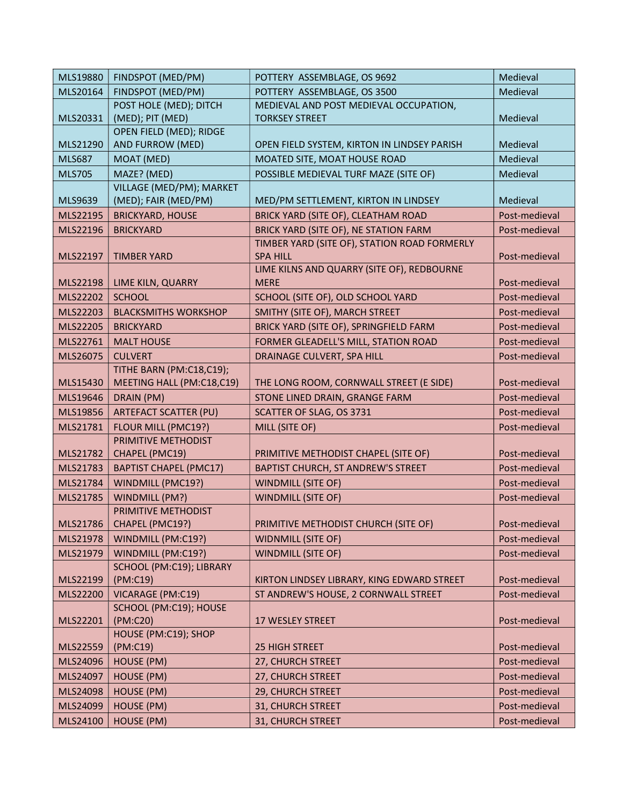| MLS19880      | FINDSPOT (MED/PM)                | POTTERY ASSEMBLAGE, OS 9692                                   | Medieval      |
|---------------|----------------------------------|---------------------------------------------------------------|---------------|
| MLS20164      | FINDSPOT (MED/PM)                | POTTERY ASSEMBLAGE, OS 3500                                   | Medieval      |
|               | POST HOLE (MED); DITCH           | MEDIEVAL AND POST MEDIEVAL OCCUPATION,                        |               |
| MLS20331      | (MED); PIT (MED)                 | <b>TORKSEY STREET</b>                                         | Medieval      |
|               | OPEN FIELD (MED); RIDGE          |                                                               |               |
| MLS21290      | AND FURROW (MED)                 | OPEN FIELD SYSTEM, KIRTON IN LINDSEY PARISH                   | Medieval      |
| <b>MLS687</b> | MOAT (MED)                       | MOATED SITE, MOAT HOUSE ROAD                                  | Medieval      |
| <b>MLS705</b> | MAZE? (MED)                      | POSSIBLE MEDIEVAL TURF MAZE (SITE OF)                         | Medieval      |
|               | VILLAGE (MED/PM); MARKET         |                                                               |               |
| MLS9639       | (MED); FAIR (MED/PM)             | MED/PM SETTLEMENT, KIRTON IN LINDSEY                          | Medieval      |
| MLS22195      | <b>BRICKYARD, HOUSE</b>          | BRICK YARD (SITE OF), CLEATHAM ROAD                           | Post-medieval |
| MLS22196      | <b>BRICKYARD</b>                 | BRICK YARD (SITE OF), NE STATION FARM                         | Post-medieval |
|               |                                  | TIMBER YARD (SITE OF), STATION ROAD FORMERLY                  |               |
| MLS22197      | <b>TIMBER YARD</b>               | <b>SPA HILL</b><br>LIME KILNS AND QUARRY (SITE OF), REDBOURNE | Post-medieval |
| MLS22198      | LIME KILN, QUARRY                | <b>MERE</b>                                                   | Post-medieval |
| MLS22202      | <b>SCHOOL</b>                    | SCHOOL (SITE OF), OLD SCHOOL YARD                             | Post-medieval |
| MLS22203      | <b>BLACKSMITHS WORKSHOP</b>      | SMITHY (SITE OF), MARCH STREET                                | Post-medieval |
| MLS22205      | <b>BRICKYARD</b>                 | BRICK YARD (SITE OF), SPRINGFIELD FARM                        | Post-medieval |
| MLS22761      | <b>MALT HOUSE</b>                | FORMER GLEADELL'S MILL, STATION ROAD                          | Post-medieval |
|               | <b>CULVERT</b>                   |                                                               |               |
| MLS26075      | TITHE BARN (PM:C18,C19);         | DRAINAGE CULVERT, SPA HILL                                    | Post-medieval |
| MLS15430      | MEETING HALL (PM:C18,C19)        | THE LONG ROOM, CORNWALL STREET (E SIDE)                       | Post-medieval |
| MLS19646      | DRAIN (PM)                       | STONE LINED DRAIN, GRANGE FARM                                | Post-medieval |
| MLS19856      | <b>ARTEFACT SCATTER (PU)</b>     | SCATTER OF SLAG, OS 3731                                      | Post-medieval |
| MLS21781      | FLOUR MILL (PMC19?)              | MILL (SITE OF)                                                | Post-medieval |
|               | PRIMITIVE METHODIST              |                                                               |               |
| MLS21782      | CHAPEL (PMC19)                   | PRIMITIVE METHODIST CHAPEL (SITE OF)                          | Post-medieval |
| MLS21783      | <b>BAPTIST CHAPEL (PMC17)</b>    | BAPTIST CHURCH, ST ANDREW'S STREET                            | Post-medieval |
| MLS21784      | WINDMILL (PMC19?)                | <b>WINDMILL (SITE OF)</b>                                     | Post-medieval |
| MLS21785      | WINDMILL (PM?)                   | <b>WINDMILL (SITE OF)</b>                                     | Post-medieval |
|               | PRIMITIVE METHODIST              |                                                               |               |
|               | $MLS21786$ CHAPEL (PMC19?)       | PRIMITIVE METHODIST CHURCH (SITE OF)                          | Post-medieval |
| MLS21978      | WINDMILL (PM:C19?)               | <b>WIDNMILL (SITE OF)</b>                                     | Post-medieval |
| MLS21979      | WINDMILL (PM:C19?)               | <b>WINDMILL (SITE OF)</b>                                     | Post-medieval |
|               | SCHOOL (PM:C19); LIBRARY         |                                                               |               |
| MLS22199      | (PM:C19)                         | KIRTON LINDSEY LIBRARY, KING EDWARD STREET                    | Post-medieval |
| MLS22200      | VICARAGE (PM:C19)                | ST ANDREW'S HOUSE, 2 CORNWALL STREET                          | Post-medieval |
|               | SCHOOL (PM:C19); HOUSE           |                                                               |               |
| MLS22201      | (PM:C20)                         | 17 WESLEY STREET                                              | Post-medieval |
| MLS22559      | HOUSE (PM:C19); SHOP<br>(PM:C19) | <b>25 HIGH STREET</b>                                         | Post-medieval |
| MLS24096      | HOUSE (PM)                       | 27, CHURCH STREET                                             | Post-medieval |
| MLS24097      | HOUSE (PM)                       | 27, CHURCH STREET                                             | Post-medieval |
| MLS24098      | HOUSE (PM)                       | 29, CHURCH STREET                                             | Post-medieval |
|               |                                  |                                                               |               |
| MLS24099      | HOUSE (PM)                       | 31, CHURCH STREET                                             | Post-medieval |
| MLS24100      | HOUSE (PM)                       | 31, CHURCH STREET                                             | Post-medieval |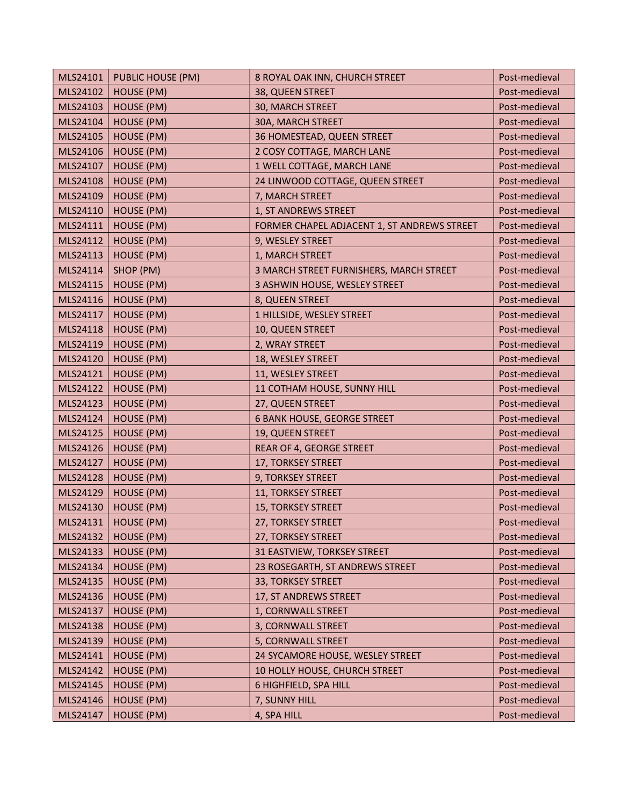| MLS24101 | <b>PUBLIC HOUSE (PM)</b> | 8 ROYAL OAK INN, CHURCH STREET              | Post-medieval |
|----------|--------------------------|---------------------------------------------|---------------|
| MLS24102 | HOUSE (PM)               | 38, QUEEN STREET                            | Post-medieval |
| MLS24103 | <b>HOUSE (PM)</b>        | 30, MARCH STREET                            | Post-medieval |
| MLS24104 | HOUSE (PM)               | 30A, MARCH STREET                           | Post-medieval |
| MLS24105 | <b>HOUSE (PM)</b>        | 36 HOMESTEAD, QUEEN STREET                  | Post-medieval |
| MLS24106 | <b>HOUSE (PM)</b>        | 2 COSY COTTAGE, MARCH LANE                  | Post-medieval |
| MLS24107 | HOUSE (PM)               | 1 WELL COTTAGE, MARCH LANE                  | Post-medieval |
| MLS24108 | HOUSE (PM)               | 24 LINWOOD COTTAGE, QUEEN STREET            | Post-medieval |
| MLS24109 | <b>HOUSE (PM)</b>        | 7, MARCH STREET                             | Post-medieval |
| MLS24110 | HOUSE (PM)               | 1, ST ANDREWS STREET                        | Post-medieval |
| MLS24111 | HOUSE (PM)               | FORMER CHAPEL ADJACENT 1, ST ANDREWS STREET | Post-medieval |
| MLS24112 | <b>HOUSE (PM)</b>        | 9, WESLEY STREET                            | Post-medieval |
| MLS24113 | HOUSE (PM)               | 1, MARCH STREET                             | Post-medieval |
| MLS24114 | SHOP (PM)                | 3 MARCH STREET FURNISHERS, MARCH STREET     | Post-medieval |
| MLS24115 | HOUSE (PM)               | 3 ASHWIN HOUSE, WESLEY STREET               | Post-medieval |
| MLS24116 | <b>HOUSE (PM)</b>        | 8, QUEEN STREET                             | Post-medieval |
| MLS24117 | HOUSE (PM)               | 1 HILLSIDE, WESLEY STREET                   | Post-medieval |
| MLS24118 | HOUSE (PM)               | 10, QUEEN STREET                            | Post-medieval |
| MLS24119 | HOUSE (PM)               | 2, WRAY STREET                              | Post-medieval |
| MLS24120 | HOUSE (PM)               | 18, WESLEY STREET                           | Post-medieval |
| MLS24121 | HOUSE (PM)               | 11, WESLEY STREET                           | Post-medieval |
| MLS24122 | HOUSE (PM)               | 11 COTHAM HOUSE, SUNNY HILL                 | Post-medieval |
| MLS24123 | HOUSE (PM)               | 27, QUEEN STREET                            | Post-medieval |
| MLS24124 | HOUSE (PM)               | <b>6 BANK HOUSE, GEORGE STREET</b>          | Post-medieval |
| MLS24125 | HOUSE (PM)               | 19, QUEEN STREET                            | Post-medieval |
| MLS24126 | HOUSE (PM)               | REAR OF 4, GEORGE STREET                    | Post-medieval |
| MLS24127 | HOUSE (PM)               | 17, TORKSEY STREET                          | Post-medieval |
| MLS24128 | HOUSE (PM)               | 9, TORKSEY STREET                           | Post-medieval |
| MLS24129 | HOUSE (PM)               | 11, TORKSEY STREET                          | Post-medieval |
| MLS24130 | HOUSE (PM)               | 15, TORKSEY STREET                          | Post-medieval |
| MLS24131 | HOUSE (PM)               | 27, TORKSEY STREET                          | Post-medieval |
| MLS24132 | HOUSE (PM)               | 27, TORKSEY STREET                          | Post-medieval |
| MLS24133 | <b>HOUSE (PM)</b>        | 31 EASTVIEW, TORKSEY STREET                 | Post-medieval |
| MLS24134 | HOUSE (PM)               | 23 ROSEGARTH, ST ANDREWS STREET             | Post-medieval |
| MLS24135 | <b>HOUSE (PM)</b>        | 33, TORKSEY STREET                          | Post-medieval |
| MLS24136 | HOUSE (PM)               | 17, ST ANDREWS STREET                       | Post-medieval |
| MLS24137 | <b>HOUSE (PM)</b>        | 1, CORNWALL STREET                          | Post-medieval |
| MLS24138 | HOUSE (PM)               | 3, CORNWALL STREET                          | Post-medieval |
| MLS24139 | HOUSE (PM)               | 5, CORNWALL STREET                          | Post-medieval |
| MLS24141 | HOUSE (PM)               | 24 SYCAMORE HOUSE, WESLEY STREET            | Post-medieval |
| MLS24142 | HOUSE (PM)               | 10 HOLLY HOUSE, CHURCH STREET               | Post-medieval |
| MLS24145 | HOUSE (PM)               | 6 HIGHFIELD, SPA HILL                       | Post-medieval |
| MLS24146 | HOUSE (PM)               | 7, SUNNY HILL                               | Post-medieval |
| MLS24147 | HOUSE (PM)               | 4, SPA HILL                                 | Post-medieval |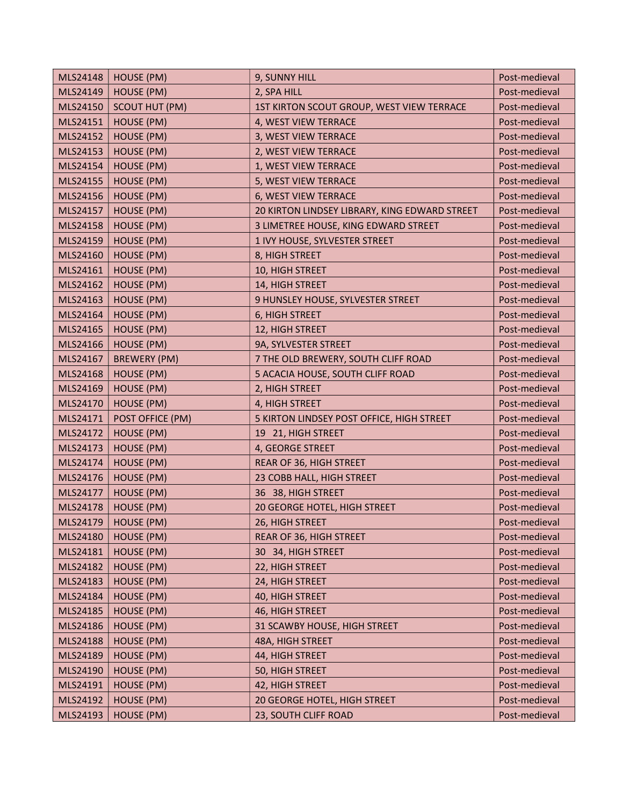| MLS24148 | <b>HOUSE (PM)</b>     | 9, SUNNY HILL                                 | Post-medieval |
|----------|-----------------------|-----------------------------------------------|---------------|
| MLS24149 | <b>HOUSE (PM)</b>     | 2, SPA HILL                                   | Post-medieval |
| MLS24150 | <b>SCOUT HUT (PM)</b> | 1ST KIRTON SCOUT GROUP, WEST VIEW TERRACE     | Post-medieval |
| MLS24151 | HOUSE (PM)            | 4, WEST VIEW TERRACE                          | Post-medieval |
| MLS24152 | HOUSE (PM)            | 3, WEST VIEW TERRACE                          | Post-medieval |
| MLS24153 | HOUSE (PM)            | 2, WEST VIEW TERRACE                          | Post-medieval |
| MLS24154 | HOUSE (PM)            | 1, WEST VIEW TERRACE                          | Post-medieval |
| MLS24155 | <b>HOUSE (PM)</b>     | 5, WEST VIEW TERRACE                          | Post-medieval |
| MLS24156 | <b>HOUSE (PM)</b>     | 6, WEST VIEW TERRACE                          | Post-medieval |
| MLS24157 | HOUSE (PM)            | 20 KIRTON LINDSEY LIBRARY, KING EDWARD STREET | Post-medieval |
| MLS24158 | HOUSE (PM)            | 3 LIMETREE HOUSE, KING EDWARD STREET          | Post-medieval |
| MLS24159 | HOUSE (PM)            | 1 IVY HOUSE, SYLVESTER STREET                 | Post-medieval |
| MLS24160 | <b>HOUSE (PM)</b>     | 8, HIGH STREET                                | Post-medieval |
| MLS24161 | <b>HOUSE (PM)</b>     | 10, HIGH STREET                               | Post-medieval |
| MLS24162 | HOUSE (PM)            | 14, HIGH STREET                               | Post-medieval |
| MLS24163 | HOUSE (PM)            | 9 HUNSLEY HOUSE, SYLVESTER STREET             | Post-medieval |
| MLS24164 | HOUSE (PM)            | 6, HIGH STREET                                | Post-medieval |
| MLS24165 | HOUSE (PM)            | 12, HIGH STREET                               | Post-medieval |
| MLS24166 | HOUSE (PM)            | 9A, SYLVESTER STREET                          | Post-medieval |
| MLS24167 | <b>BREWERY (PM)</b>   | 7 THE OLD BREWERY, SOUTH CLIFF ROAD           | Post-medieval |
| MLS24168 | HOUSE (PM)            | 5 ACACIA HOUSE, SOUTH CLIFF ROAD              | Post-medieval |
| MLS24169 | HOUSE (PM)            | 2, HIGH STREET                                | Post-medieval |
| MLS24170 | HOUSE (PM)            | 4, HIGH STREET                                | Post-medieval |
| MLS24171 | POST OFFICE (PM)      | 5 KIRTON LINDSEY POST OFFICE, HIGH STREET     | Post-medieval |
| MLS24172 | HOUSE (PM)            | 19 21, HIGH STREET                            | Post-medieval |
| MLS24173 | HOUSE (PM)            | 4, GEORGE STREET                              | Post-medieval |
| MLS24174 | <b>HOUSE (PM)</b>     | REAR OF 36, HIGH STREET                       | Post-medieval |
| MLS24176 | HOUSE (PM)            | 23 COBB HALL, HIGH STREET                     | Post-medieval |
| MLS24177 | HOUSE (PM)            | 36 38, HIGH STREET                            | Post-medieval |
| MLS24178 | HOUSE (PM)            | 20 GEORGE HOTEL, HIGH STREET                  | Post-medieval |
| MLS24179 | HOUSE (PM)            | 26, HIGH STREET                               | Post-medieval |
| MLS24180 | HOUSE (PM)            | REAR OF 36, HIGH STREET                       | Post-medieval |
| MLS24181 | HOUSE (PM)            | 30 34, HIGH STREET                            | Post-medieval |
| MLS24182 | HOUSE (PM)            | 22, HIGH STREET                               | Post-medieval |
| MLS24183 | <b>HOUSE (PM)</b>     | 24, HIGH STREET                               | Post-medieval |
| MLS24184 | HOUSE (PM)            | 40, HIGH STREET                               | Post-medieval |
| MLS24185 | HOUSE (PM)            | 46, HIGH STREET                               | Post-medieval |
| MLS24186 | HOUSE (PM)            | 31 SCAWBY HOUSE, HIGH STREET                  | Post-medieval |
| MLS24188 | HOUSE (PM)            | 48A, HIGH STREET                              | Post-medieval |
| MLS24189 | HOUSE (PM)            | 44, HIGH STREET                               | Post-medieval |
| MLS24190 | HOUSE (PM)            | 50, HIGH STREET                               | Post-medieval |
| MLS24191 | <b>HOUSE (PM)</b>     | 42, HIGH STREET                               | Post-medieval |
| MLS24192 | HOUSE (PM)            | 20 GEORGE HOTEL, HIGH STREET                  | Post-medieval |
| MLS24193 | HOUSE (PM)            | 23, SOUTH CLIFF ROAD                          | Post-medieval |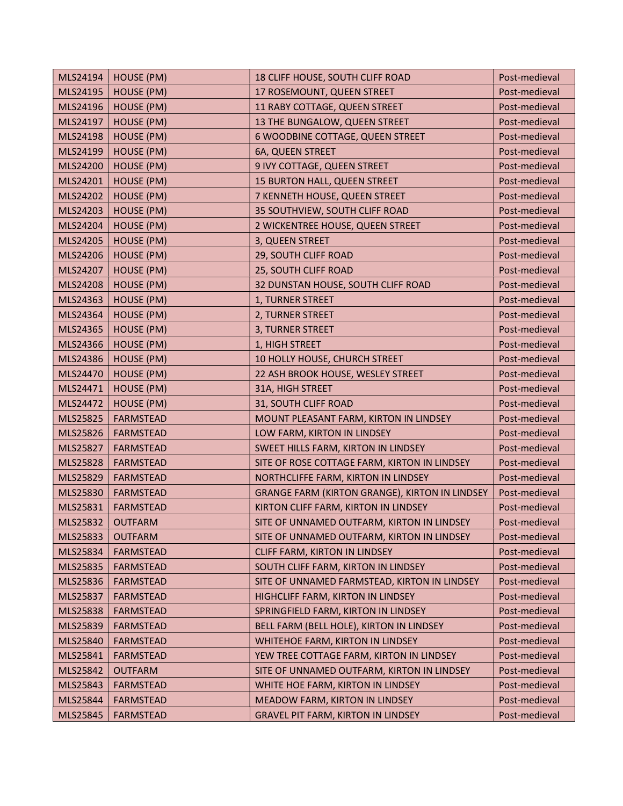| MLS24194 | HOUSE (PM)        | 18 CLIFF HOUSE, SOUTH CLIFF ROAD                      | Post-medieval |
|----------|-------------------|-------------------------------------------------------|---------------|
| MLS24195 | <b>HOUSE (PM)</b> | 17 ROSEMOUNT, QUEEN STREET                            | Post-medieval |
| MLS24196 | HOUSE (PM)        | 11 RABY COTTAGE, QUEEN STREET                         | Post-medieval |
| MLS24197 | HOUSE (PM)        | 13 THE BUNGALOW, QUEEN STREET                         | Post-medieval |
| MLS24198 | HOUSE (PM)        | 6 WOODBINE COTTAGE, QUEEN STREET                      | Post-medieval |
| MLS24199 | HOUSE (PM)        | 6A, QUEEN STREET                                      | Post-medieval |
| MLS24200 | <b>HOUSE (PM)</b> | 9 IVY COTTAGE, QUEEN STREET                           | Post-medieval |
| MLS24201 | HOUSE (PM)        | 15 BURTON HALL, QUEEN STREET                          | Post-medieval |
| MLS24202 | <b>HOUSE (PM)</b> | 7 KENNETH HOUSE, QUEEN STREET                         | Post-medieval |
| MLS24203 | HOUSE (PM)        | 35 SOUTHVIEW, SOUTH CLIFF ROAD                        | Post-medieval |
| MLS24204 | HOUSE (PM)        | 2 WICKENTREE HOUSE, QUEEN STREET                      | Post-medieval |
| MLS24205 | <b>HOUSE (PM)</b> | 3, QUEEN STREET                                       | Post-medieval |
| MLS24206 | HOUSE (PM)        | 29, SOUTH CLIFF ROAD                                  | Post-medieval |
| MLS24207 | <b>HOUSE (PM)</b> | 25, SOUTH CLIFF ROAD                                  | Post-medieval |
| MLS24208 | HOUSE (PM)        | 32 DUNSTAN HOUSE, SOUTH CLIFF ROAD                    | Post-medieval |
| MLS24363 | <b>HOUSE (PM)</b> | 1, TURNER STREET                                      | Post-medieval |
| MLS24364 | HOUSE (PM)        | 2, TURNER STREET                                      | Post-medieval |
| MLS24365 | HOUSE (PM)        | 3, TURNER STREET                                      | Post-medieval |
| MLS24366 | HOUSE (PM)        | 1, HIGH STREET                                        | Post-medieval |
| MLS24386 | HOUSE (PM)        | 10 HOLLY HOUSE, CHURCH STREET                         | Post-medieval |
| MLS24470 | HOUSE (PM)        | 22 ASH BROOK HOUSE, WESLEY STREET                     | Post-medieval |
| MLS24471 | <b>HOUSE (PM)</b> | 31A, HIGH STREET                                      | Post-medieval |
| MLS24472 | <b>HOUSE (PM)</b> | 31, SOUTH CLIFF ROAD                                  | Post-medieval |
| MLS25825 | <b>FARMSTEAD</b>  | MOUNT PLEASANT FARM, KIRTON IN LINDSEY                | Post-medieval |
| MLS25826 | <b>FARMSTEAD</b>  | LOW FARM, KIRTON IN LINDSEY                           | Post-medieval |
| MLS25827 | <b>FARMSTEAD</b>  | SWEET HILLS FARM, KIRTON IN LINDSEY                   | Post-medieval |
| MLS25828 | <b>FARMSTEAD</b>  | SITE OF ROSE COTTAGE FARM, KIRTON IN LINDSEY          | Post-medieval |
| MLS25829 | <b>FARMSTEAD</b>  | NORTHCLIFFE FARM, KIRTON IN LINDSEY                   | Post-medieval |
| MLS25830 | <b>FARMSTEAD</b>  | <b>GRANGE FARM (KIRTON GRANGE), KIRTON IN LINDSEY</b> | Post-medieval |
| MLS25831 | <b>FARMSTEAD</b>  | KIRTON CLIFF FARM, KIRTON IN LINDSEY                  | Post-medieval |
| MLS25832 | <b>OUTFARM</b>    | SITE OF UNNAMED OUTFARM, KIRTON IN LINDSEY            | Post-medieval |
| MLS25833 | <b>OUTFARM</b>    | SITE OF UNNAMED OUTFARM, KIRTON IN LINDSEY            | Post-medieval |
| MLS25834 | <b>FARMSTEAD</b>  | CLIFF FARM, KIRTON IN LINDSEY                         | Post-medieval |
| MLS25835 | <b>FARMSTEAD</b>  | SOUTH CLIFF FARM, KIRTON IN LINDSEY                   | Post-medieval |
| MLS25836 | <b>FARMSTEAD</b>  | SITE OF UNNAMED FARMSTEAD, KIRTON IN LINDSEY          | Post-medieval |
| MLS25837 | <b>FARMSTEAD</b>  | HIGHCLIFF FARM, KIRTON IN LINDSEY                     | Post-medieval |
| MLS25838 | <b>FARMSTEAD</b>  | SPRINGFIELD FARM, KIRTON IN LINDSEY                   | Post-medieval |
| MLS25839 | <b>FARMSTEAD</b>  | BELL FARM (BELL HOLE), KIRTON IN LINDSEY              | Post-medieval |
| MLS25840 | <b>FARMSTEAD</b>  | WHITEHOE FARM, KIRTON IN LINDSEY                      | Post-medieval |
| MLS25841 | <b>FARMSTEAD</b>  | YEW TREE COTTAGE FARM, KIRTON IN LINDSEY              | Post-medieval |
| MLS25842 | <b>OUTFARM</b>    | SITE OF UNNAMED OUTFARM, KIRTON IN LINDSEY            | Post-medieval |
| MLS25843 | <b>FARMSTEAD</b>  | WHITE HOE FARM, KIRTON IN LINDSEY                     | Post-medieval |
| MLS25844 | <b>FARMSTEAD</b>  | MEADOW FARM, KIRTON IN LINDSEY                        | Post-medieval |
| MLS25845 | <b>FARMSTEAD</b>  | <b>GRAVEL PIT FARM, KIRTON IN LINDSEY</b>             | Post-medieval |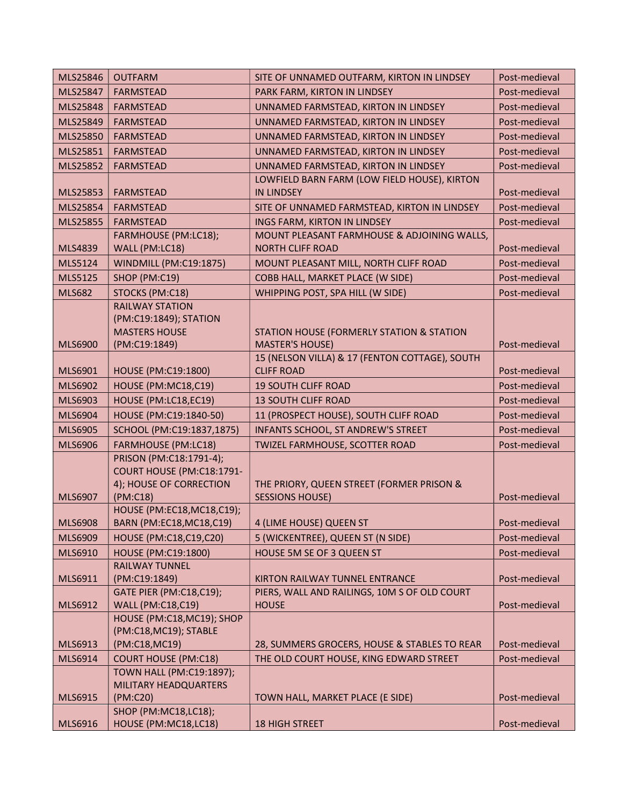| MLS25846        | <b>OUTFARM</b>                                        | SITE OF UNNAMED OUTFARM, KIRTON IN LINDSEY                          | Post-medieval |
|-----------------|-------------------------------------------------------|---------------------------------------------------------------------|---------------|
| MLS25847        | <b>FARMSTEAD</b>                                      | PARK FARM, KIRTON IN LINDSEY                                        | Post-medieval |
| <b>MLS25848</b> | <b>FARMSTEAD</b>                                      | UNNAMED FARMSTEAD, KIRTON IN LINDSEY                                | Post-medieval |
| MLS25849        | <b>FARMSTEAD</b>                                      | UNNAMED FARMSTEAD, KIRTON IN LINDSEY                                | Post-medieval |
| MLS25850        | <b>FARMSTEAD</b>                                      | UNNAMED FARMSTEAD, KIRTON IN LINDSEY                                | Post-medieval |
| MLS25851        | <b>FARMSTEAD</b>                                      | UNNAMED FARMSTEAD, KIRTON IN LINDSEY                                | Post-medieval |
| MLS25852        | <b>FARMSTEAD</b>                                      | UNNAMED FARMSTEAD, KIRTON IN LINDSEY                                | Post-medieval |
|                 |                                                       | LOWFIELD BARN FARM (LOW FIELD HOUSE), KIRTON                        |               |
| MLS25853        | <b>FARMSTEAD</b>                                      | <b>IN LINDSEY</b>                                                   | Post-medieval |
| MLS25854        | <b>FARMSTEAD</b>                                      | SITE OF UNNAMED FARMSTEAD, KIRTON IN LINDSEY                        | Post-medieval |
| MLS25855        | <b>FARMSTEAD</b>                                      | INGS FARM, KIRTON IN LINDSEY                                        | Post-medieval |
|                 | FARMHOUSE (PM:LC18);                                  | MOUNT PLEASANT FARMHOUSE & ADJOINING WALLS,                         |               |
| MLS4839         | WALL (PM:LC18)                                        | <b>NORTH CLIFF ROAD</b>                                             | Post-medieval |
| MLS5124         | WINDMILL (PM:C19:1875)                                | MOUNT PLEASANT MILL, NORTH CLIFF ROAD                               | Post-medieval |
| <b>MLS5125</b>  | SHOP (PM:C19)                                         | COBB HALL, MARKET PLACE (W SIDE)                                    | Post-medieval |
| <b>MLS682</b>   | STOCKS (PM:C18)                                       | WHIPPING POST, SPA HILL (W SIDE)                                    | Post-medieval |
|                 | <b>RAILWAY STATION</b>                                |                                                                     |               |
|                 | (PM:C19:1849); STATION                                |                                                                     |               |
|                 | <b>MASTERS HOUSE</b>                                  | STATION HOUSE (FORMERLY STATION & STATION                           |               |
| <b>MLS6900</b>  | (PM:C19:1849)                                         | <b>MASTER'S HOUSE)</b>                                              | Post-medieval |
| MLS6901         | HOUSE (PM:C19:1800)                                   | 15 (NELSON VILLA) & 17 (FENTON COTTAGE), SOUTH<br><b>CLIFF ROAD</b> | Post-medieval |
| MLS6902         | HOUSE (PM:MC18,C19)                                   | <b>19 SOUTH CLIFF ROAD</b>                                          | Post-medieval |
| MLS6903         | HOUSE (PM:LC18,EC19)                                  | <b>13 SOUTH CLIFF ROAD</b>                                          | Post-medieval |
| <b>MLS6904</b>  | HOUSE (PM:C19:1840-50)                                | 11 (PROSPECT HOUSE), SOUTH CLIFF ROAD                               | Post-medieval |
| <b>MLS6905</b>  | SCHOOL (PM:C19:1837,1875)                             | INFANTS SCHOOL, ST ANDREW'S STREET                                  | Post-medieval |
|                 |                                                       |                                                                     |               |
| <b>MLS6906</b>  | <b>FARMHOUSE (PM:LC18)</b><br>PRISON (PM:C18:1791-4); | TWIZEL FARMHOUSE, SCOTTER ROAD                                      | Post-medieval |
|                 | COURT HOUSE (PM:C18:1791-                             |                                                                     |               |
|                 | 4); HOUSE OF CORRECTION                               | THE PRIORY, QUEEN STREET (FORMER PRISON &                           |               |
| MLS6907         | (PM:C18)                                              | <b>SESSIONS HOUSE)</b>                                              | Post-medieval |
|                 | HOUSE (PM:EC18, MC18, C19);                           |                                                                     |               |
| <b>MLS6908</b>  | BARN (PM:EC18, MC18, C19)                             | 4 (LIME HOUSE) QUEEN ST                                             | Post-medieval |
| MLS6909         | HOUSE (PM:C18,C19,C20)                                | 5 (WICKENTREE), QUEEN ST (N SIDE)                                   | Post-medieval |
| MLS6910         | HOUSE (PM:C19:1800)                                   | HOUSE 5M SE OF 3 QUEEN ST                                           | Post-medieval |
|                 | <b>RAILWAY TUNNEL</b>                                 |                                                                     |               |
| MLS6911         | (PM:C19:1849)                                         | KIRTON RAILWAY TUNNEL ENTRANCE                                      | Post-medieval |
|                 | <b>GATE PIER (PM:C18,C19);</b>                        | PIERS, WALL AND RAILINGS, 10M S OF OLD COURT                        |               |
| MLS6912         | <b>WALL (PM:C18,C19)</b>                              | <b>HOUSE</b>                                                        | Post-medieval |
|                 | HOUSE (PM:C18, MC19); SHOP<br>(PM:C18, MC19); STABLE  |                                                                     |               |
| MLS6913         | (PM:C18,MC19)                                         | 28, SUMMERS GROCERS, HOUSE & STABLES TO REAR                        | Post-medieval |
| MLS6914         | <b>COURT HOUSE (PM:C18)</b>                           | THE OLD COURT HOUSE, KING EDWARD STREET                             | Post-medieval |
|                 | TOWN HALL (PM:C19:1897);                              |                                                                     |               |
|                 | MILITARY HEADQUARTERS                                 |                                                                     |               |
| MLS6915         | (PM:C20)                                              | TOWN HALL, MARKET PLACE (E SIDE)                                    | Post-medieval |
|                 | SHOP (PM:MC18,LC18);                                  |                                                                     |               |
| MLS6916         | HOUSE (PM:MC18,LC18)                                  | <b>18 HIGH STREET</b>                                               | Post-medieval |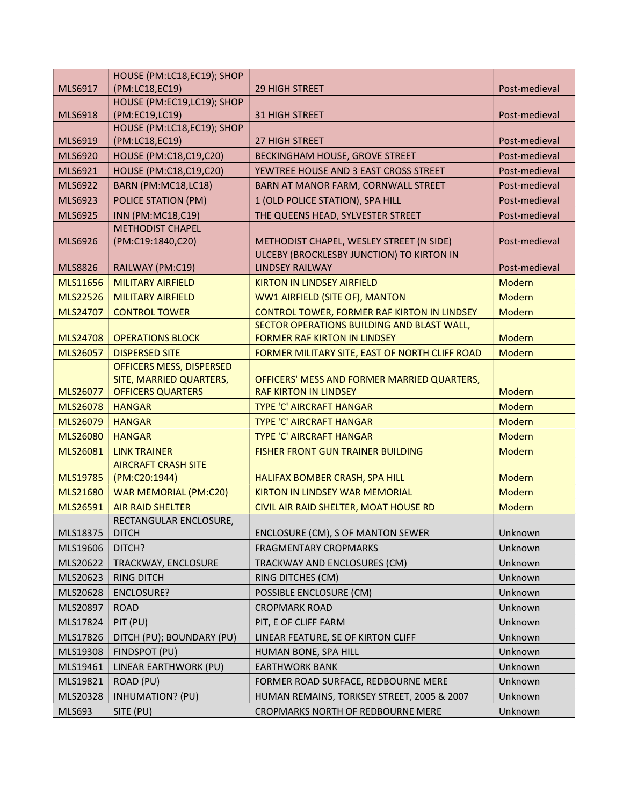|                | HOUSE (PM:LC18,EC19); SHOP                          |                                                |               |
|----------------|-----------------------------------------------------|------------------------------------------------|---------------|
| MLS6917        | (PM:LC18,EC19)                                      | 29 HIGH STREET                                 | Post-medieval |
|                | HOUSE (PM:EC19,LC19); SHOP                          |                                                |               |
| MLS6918        | (PM:EC19,LC19)                                      | <b>31 HIGH STREET</b>                          | Post-medieval |
|                | HOUSE (PM:LC18,EC19); SHOP                          |                                                |               |
| MLS6919        | (PM:LC18,EC19)                                      | 27 HIGH STREET                                 | Post-medieval |
| <b>MLS6920</b> | HOUSE (PM:C18,C19,C20)                              | BECKINGHAM HOUSE, GROVE STREET                 | Post-medieval |
| MLS6921        | HOUSE (PM:C18,C19,C20)                              | YEWTREE HOUSE AND 3 EAST CROSS STREET          | Post-medieval |
| MLS6922        | BARN (PM:MC18,LC18)                                 | BARN AT MANOR FARM, CORNWALL STREET            | Post-medieval |
| MLS6923        | POLICE STATION (PM)                                 | 1 (OLD POLICE STATION), SPA HILL               | Post-medieval |
| <b>MLS6925</b> | INN (PM:MC18,C19)                                   | THE QUEENS HEAD, SYLVESTER STREET              | Post-medieval |
|                | <b>METHODIST CHAPEL</b>                             |                                                |               |
| MLS6926        | (PM:C19:1840,C20)                                   | METHODIST CHAPEL, WESLEY STREET (N SIDE)       | Post-medieval |
|                |                                                     | ULCEBY (BROCKLESBY JUNCTION) TO KIRTON IN      |               |
| <b>MLS8826</b> | RAILWAY (PM:C19)                                    | <b>LINDSEY RAILWAY</b>                         | Post-medieval |
| MLS11656       | <b>MILITARY AIRFIELD</b>                            | <b>KIRTON IN LINDSEY AIRFIELD</b>              | <b>Modern</b> |
| MLS22526       | <b>MILITARY AIRFIELD</b>                            | WW1 AIRFIELD (SITE OF), MANTON                 | <b>Modern</b> |
| MLS24707       | <b>CONTROL TOWER</b>                                | CONTROL TOWER, FORMER RAF KIRTON IN LINDSEY    | <b>Modern</b> |
|                |                                                     | SECTOR OPERATIONS BUILDING AND BLAST WALL,     |               |
| MLS24708       | <b>OPERATIONS BLOCK</b>                             | <b>FORMER RAF KIRTON IN LINDSEY</b>            | Modern        |
| MLS26057       | <b>DISPERSED SITE</b>                               | FORMER MILITARY SITE, EAST OF NORTH CLIFF ROAD | Modern        |
|                | OFFICERS MESS, DISPERSED<br>SITE, MARRIED QUARTERS, | OFFICERS' MESS AND FORMER MARRIED QUARTERS,    |               |
| MLS26077       | <b>OFFICERS QUARTERS</b>                            | <b>RAF KIRTON IN LINDSEY</b>                   | <b>Modern</b> |
| MLS26078       | <b>HANGAR</b>                                       | <b>TYPE 'C' AIRCRAFT HANGAR</b>                | <b>Modern</b> |
| MLS26079       | <b>HANGAR</b>                                       | <b>TYPE 'C' AIRCRAFT HANGAR</b>                | <b>Modern</b> |
| MLS26080       | <b>HANGAR</b>                                       | <b>TYPE 'C' AIRCRAFT HANGAR</b>                | <b>Modern</b> |
| MLS26081       | <b>LINK TRAINER</b>                                 | <b>FISHER FRONT GUN TRAINER BUILDING</b>       | <b>Modern</b> |
|                | <b>AIRCRAFT CRASH SITE</b>                          |                                                |               |
| MLS19785       | (PM:C20:1944)                                       | HALIFAX BOMBER CRASH, SPA HILL                 | <b>Modern</b> |
| MLS21680       | <b>WAR MEMORIAL (PM:C20)</b>                        | <b>KIRTON IN LINDSEY WAR MEMORIAL</b>          | <b>Modern</b> |
| MLS26591       | <b>AIR RAID SHELTER</b>                             | CIVIL AIR RAID SHELTER, MOAT HOUSE RD          | <b>Modern</b> |
|                | RECTANGULAR ENCLOSURE,                              |                                                |               |
| MLS18375       | <b>DITCH</b>                                        | ENCLOSURE (CM), S OF MANTON SEWER              | Unknown       |
| MLS19606       | DITCH?                                              | <b>FRAGMENTARY CROPMARKS</b>                   | Unknown       |
| MLS20622       | TRACKWAY, ENCLOSURE                                 | TRACKWAY AND ENCLOSURES (CM)                   | Unknown       |
| MLS20623       | <b>RING DITCH</b>                                   | RING DITCHES (CM)                              | Unknown       |
| MLS20628       | ENCLOSURE?                                          | POSSIBLE ENCLOSURE (CM)                        | Unknown       |
| MLS20897       | <b>ROAD</b>                                         | <b>CROPMARK ROAD</b>                           | Unknown       |
| MLS17824       | PIT (PU)                                            | PIT, E OF CLIFF FARM                           | Unknown       |
| MLS17826       | DITCH (PU); BOUNDARY (PU)                           | LINEAR FEATURE, SE OF KIRTON CLIFF             | Unknown       |
| MLS19308       | FINDSPOT (PU)                                       | HUMAN BONE, SPA HILL                           | Unknown       |
| MLS19461       | LINEAR EARTHWORK (PU)                               | <b>EARTHWORK BANK</b>                          | Unknown       |
| MLS19821       | ROAD (PU)                                           | FORMER ROAD SURFACE, REDBOURNE MERE            | Unknown       |
|                |                                                     |                                                |               |
| MLS20328       | <b>INHUMATION? (PU)</b>                             | HUMAN REMAINS, TORKSEY STREET, 2005 & 2007     | Unknown       |
| MLS693         | SITE (PU)                                           | CROPMARKS NORTH OF REDBOURNE MERE              | Unknown       |